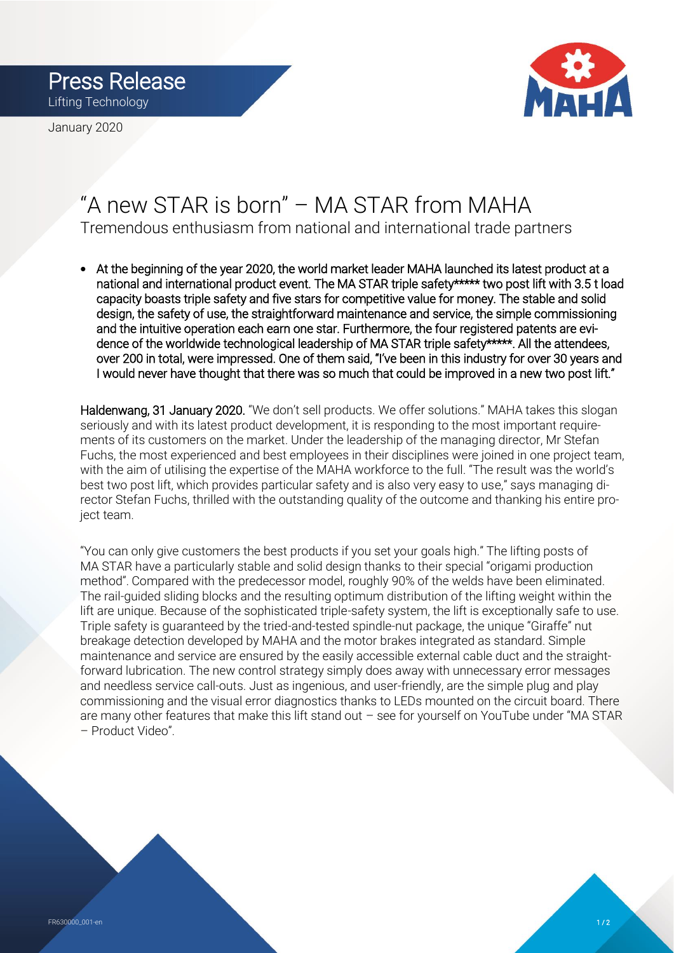Press Release Lifting Technology

January 2020



## "A new STAR is born" – MA STAR from MAHA Tremendous enthusiasm from national and international trade partners

• At the beginning of the year 2020, the world market leader MAHA launched its latest product at a national and international product event. The MA STAR triple safety\*\*\*\*\* two post lift with 3.5 t load capacity boasts triple safety and five stars for competitive value for money. The stable and solid design, the safety of use, the straightforward maintenance and service, the simple commissioning and the intuitive operation each earn one star. Furthermore, the four registered patents are evidence of the worldwide technological leadership of MA STAR triple safety\*\*\*\*\*. All the attendees, over 200 in total, were impressed. One of them said, "I've been in this industry for over 30 years and I would never have thought that there was so much that could be improved in a new two post lift."

Haldenwang, 31 January 2020. "We don't sell products. We offer solutions." MAHA takes this slogan seriously and with its latest product development, it is responding to the most important requirements of its customers on the market. Under the leadership of the managing director, Mr Stefan Fuchs, the most experienced and best employees in their disciplines were joined in one project team, with the aim of utilising the expertise of the MAHA workforce to the full. "The result was the world's best two post lift, which provides particular safety and is also very easy to use," says managing director Stefan Fuchs, thrilled with the outstanding quality of the outcome and thanking his entire project team.

"You can only give customers the best products if you set your goals high." The lifting posts of MA STAR have a particularly stable and solid design thanks to their special "origami production method". Compared with the predecessor model, roughly 90% of the welds have been eliminated. The rail-guided sliding blocks and the resulting optimum distribution of the lifting weight within the lift are unique. Because of the sophisticated triple-safety system, the lift is exceptionally safe to use. Triple safety is guaranteed by the tried-and-tested spindle-nut package, the unique "Giraffe" nut breakage detection developed by MAHA and the motor brakes integrated as standard. Simple maintenance and service are ensured by the easily accessible external cable duct and the straightforward lubrication. The new control strategy simply does away with unnecessary error messages and needless service call-outs. Just as ingenious, and user-friendly, are the simple plug and play commissioning and the visual error diagnostics thanks to LEDs mounted on the circuit board. There are many other features that make this lift stand out – see for yourself on YouTube under "MA STAR – Product Video".